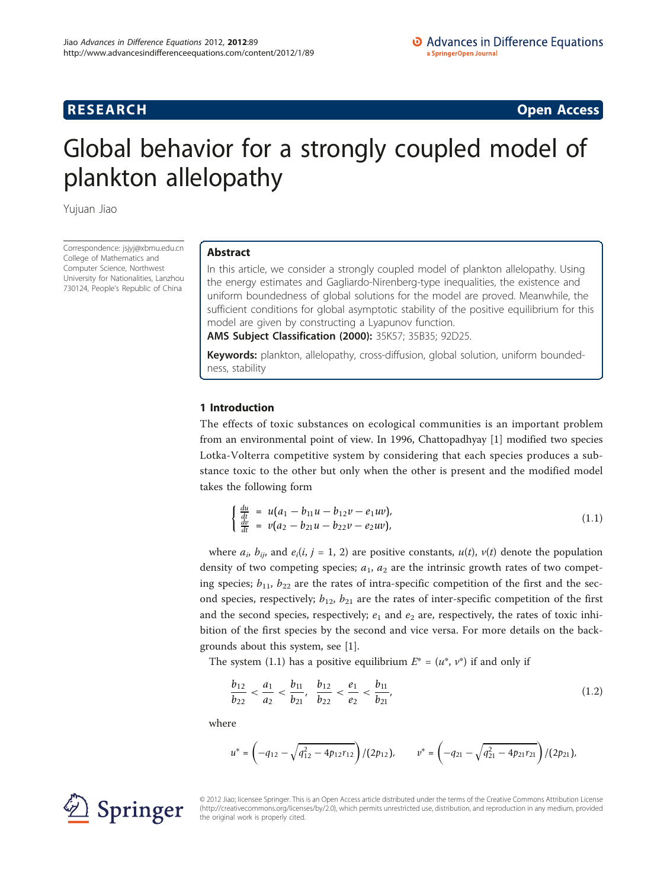# **RESEARCH CONSTRUCTION CONSTRUCTS**

# Global behavior for a strongly coupled model of plankton allelopathy

Yujuan Jiao

Correspondence: [jsjyj@xbmu.edu.cn](mailto:jsjyj@xbmu.edu.cn) College of Mathematics and Computer Science, Northwest University for Nationalities, Lanzhou 730124, People's Republic of China

# Abstract

In this article, we consider a strongly coupled model of plankton allelopathy. Using the energy estimates and Gagliardo-Nirenberg-type inequalities, the existence and uniform boundedness of global solutions for the model are proved. Meanwhile, the sufficient conditions for global asymptotic stability of the positive equilibrium for this model are given by constructing a Lyapunov function.

AMS Subject Classification (2000): 35K57; 35B35; 92D25.

Keywords: plankton, allelopathy, cross-diffusion, global solution, uniform boundedness, stability

## 1 Introduction

The effects of toxic substances on ecological communities is an important problem from an environmental point of view. In 1996, Chattopadhyay [\[1\]](#page-14-0) modified two species Lotka-Volterra competitive system by considering that each species produces a substance toxic to the other but only when the other is present and the modified model takes the following form

$$
\begin{cases}\n\frac{du}{dt} = u(a_1 - b_{11}u - b_{12}v - e_1uv),\\ \n\frac{dv}{dt} = v(a_2 - b_{21}u - b_{22}v - e_2uv),\n\end{cases}
$$
\n(1.1)

where  $a_i$ ,  $b_{ij}$ , and  $e_i(i, j = 1, 2)$  are positive constants,  $u(t)$ ,  $v(t)$  denote the population density of two competing species;  $a_1$ ,  $a_2$  are the intrinsic growth rates of two competing species;  $b_{11}$ ,  $b_{22}$  are the rates of intra-specific competition of the first and the second species, respectively;  $b_{12}$ ,  $b_{21}$  are the rates of inter-specific competition of the first and the second species, respectively;  $e_1$  and  $e_2$  are, respectively, the rates of toxic inhibition of the first species by the second and vice versa. For more details on the backgrounds about this system, see [[1\]](#page-14-0).

The system (1.1) has a positive equilibrium  $E^*=(u^*, v^*)$  if and only if

$$
\frac{b_{12}}{b_{22}} < \frac{a_1}{a_2} < \frac{b_{11}}{b_{21}}, \quad \frac{b_{12}}{b_{22}} < \frac{e_1}{e_2} < \frac{b_{11}}{b_{21}},\tag{1.2}
$$

where

$$
u^* = \left(-q_{12} - \sqrt{q_{12}^2 - 4p_{12}r_{12}}\right)/(2p_{12}), \qquad v^* = \left(-q_{21} - \sqrt{q_{21}^2 - 4p_{21}r_{21}}\right)/(2p_{21}),
$$



© 2012 Jiao; licensee Springer. This is an Open Access article distributed under the terms of the Creative Commons Attribution License [\(http://creativecommons.org/licenses/by/2.0](http://creativecommons.org/licenses/by/2.0)), which permits unrestricted use, distribution, and reproduction in any medium, provided the original work is properly cited.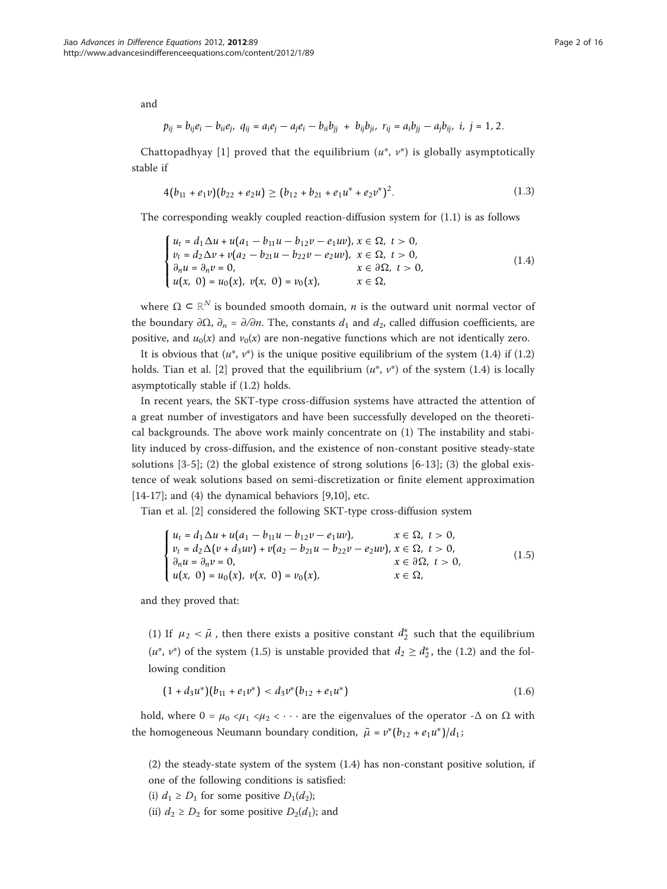and

$$
p_{ij} = b_{ij}e_i - b_{ii}e_j, \ \ q_{ij} = a_i e_j - a_j e_i - b_{ii}b_{jj} + b_{ij}b_{ji}, \ \ r_{ij} = a_i b_{jj} - a_j b_{ij}, \ \ i, \ j = 1, 2.
$$

Chattopadhyay [[1](#page-14-0)] proved that the equilibrium  $(u^*, v^*)$  is globally asymptotically stable if

$$
4(b_{11}+e_1v)(b_{22}+e_2u)\geq (b_{12}+b_{21}+e_1u^*+e_2v^*)^2.
$$
\n(1.3)

The corresponding weakly coupled reaction-diffusion system for (1.1) is as follows

$$
\begin{cases}\n u_t = d_1 \Delta u + u(a_1 - b_{11}u - b_{12}v - e_1uv), & x \in \Omega, \ t > 0, \\
 v_t = d_2 \Delta v + v(a_2 - b_{21}u - b_{22}v - e_2uv), & x \in \Omega, \ t > 0, \\
 \partial_n u = \partial_n v = 0, & x \in \partial\Omega, \ t > 0, \\
 u(x, 0) = u_0(x), \ v(x, 0) = v_0(x), & x \in \Omega,\n\end{cases}
$$
\n(1.4)

where  $\Omega \subset \mathbb{R}^N$  is bounded smooth domain, *n* is the outward unit normal vector of the boundary  $\partial\Omega$ ,  $\partial_n = \partial/\partial n$ . The, constants  $d_1$  and  $d_2$ , called diffusion coefficients, are positive, and  $u_0(x)$  and  $v_0(x)$  are non-negative functions which are not identically zero.

It is obvious that  $(u^*, v^*)$  is the unique positive equilibrium of the system (1.4) if (1.2) holds. Tian et al. [\[2](#page-14-0)] proved that the equilibrium  $(u^*, v^*)$  of the system (1.4) is locally asymptotically stable if (1.2) holds.

In recent years, the SKT-type cross-diffusion systems have attracted the attention of a great number of investigators and have been successfully developed on the theoretical backgrounds. The above work mainly concentrate on (1) The instability and stability induced by cross-diffusion, and the existence of non-constant positive steady-state solutions  $[3-5]$  $[3-5]$  $[3-5]$  $[3-5]$ ; (2) the global existence of strong solutions  $[6-13]$  $[6-13]$  $[6-13]$  $[6-13]$ ; (3) the global existence of weak solutions based on semi-discretization or finite element approximation [[14-17\]](#page-15-0); and (4) the dynamical behaviors [[9,10\]](#page-15-0), etc.

Tian et al. [[2\]](#page-14-0) considered the following SKT-type cross-diffusion system

$$
\begin{cases}\n u_t = d_1 \Delta u + u(a_1 - b_{11}u - b_{12}v - e_1uv), & x \in \Omega, \ t > 0, \\
 v_t = d_2 \Delta (v + d_3uv) + v(a_2 - b_{21}u - b_{22}v - e_2uv), & x \in \Omega, \ t > 0, \\
 \partial_n u = \partial_n v = 0, & x \in \partial\Omega, \ t > 0, \\
 u(x, 0) = u_0(x), v(x, 0) = v_0(x), & x \in \Omega,\n\end{cases}
$$
\n(1.5)

and they proved that:

(1) If  $\mu_2 < \tilde{\mu}$ , then there exists a positive constant  $d_2^*$  such that the equilibrium  $(u^*, v^*)$  of the system (1.5) is unstable provided that  $d_2 \geq d_2^*$ , the (1.2) and the following condition

$$
(1+d_3u^*)(b_{11}+e_1v^*)\n(1.6)
$$

hold, where  $0 = \mu_0 \lt \mu_1 \lt \mu_2 \lt \cdots$  are the eigenvalues of the operator - $\Delta$  on  $\Omega$  with the homogeneous Neumann boundary condition,  $\tilde{\mu} = v^*(b_{12} + e_1 u^*)/d_1$ ;

(2) the steady-state system of the system (1.4) has non-constant positive solution, if one of the following conditions is satisfied:

(i)  $d_1 \ge D_1$  for some positive  $D_1(d_2)$ ;

(ii)  $d_2 \ge D_2$  for some positive  $D_2(d_1)$ ; and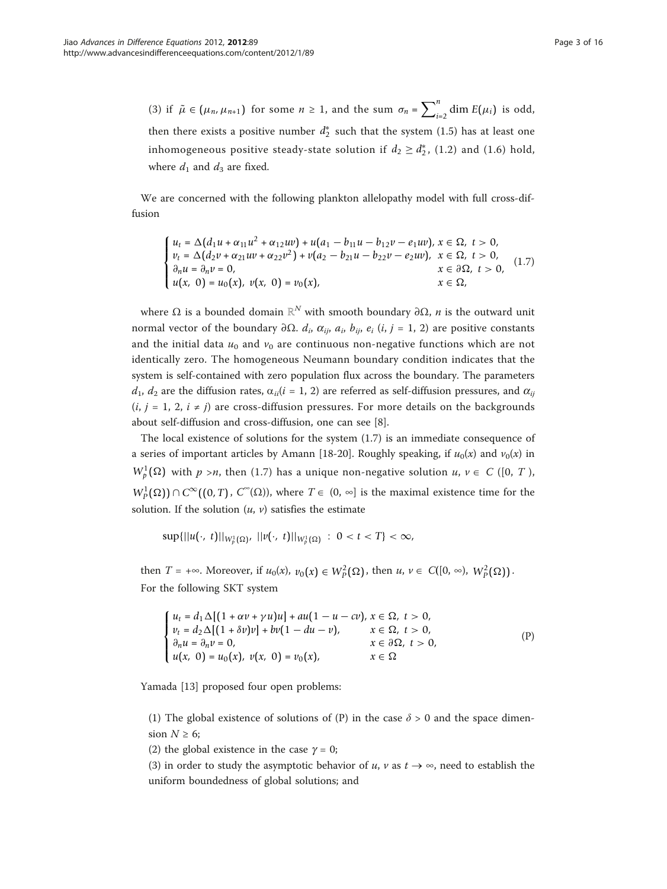(3) if  $\tilde{\mu} \in (\mu_n, \mu_{n+1})$  for some  $n \ge 1$ , and the sum  $\sigma_n = \sum_{i=2}^n \dim E(\mu_i)$  is odd, then there exists a positive number  $d_2^*$  such that the system (1.5) has at least one inhomogeneous positive steady-state solution if  $d_2 \geq d_2^*$ , (1.2) and (1.6) hold, where  $d_1$  and  $d_3$  are fixed.

We are concerned with the following plankton allelopathy model with full cross-diffusion

$$
\begin{cases}\n u_t = \Delta (d_1 u + \alpha_{11} u^2 + \alpha_{12} u v) + u(a_1 - b_{11} u - b_{12} v - e_1 u v), \, x \in \Omega, \, t > 0, \\
 v_t = \Delta (d_2 v + \alpha_{21} u v + \alpha_{22} v^2) + v(a_2 - b_{21} u - b_{22} v - e_2 u v), \, x \in \Omega, \, t > 0, \\
 \partial_n u = \partial_n v = 0, & x \in \partial \Omega, \, t > 0, \\
 u(x, \, 0) = u_0(x), \, v(x, \, 0) = v_0(x), & x \in \Omega,\n\end{cases} \tag{1.7}
$$

where  $Ω$  is a bounded domain  $ℝ^N$  with smooth boundary  $∂Ω$ , *n* is the outward unit normal vector of the boundary ∂Ω.  $d_i$ ,  $\alpha_{ij}$ ,  $a_i$ ,  $b_{ij}$ ,  $e_i$  (i, j = 1, 2) are positive constants and the initial data  $u_0$  and  $v_0$  are continuous non-negative functions which are not identically zero. The homogeneous Neumann boundary condition indicates that the system is self-contained with zero population flux across the boundary. The parameters  $d_1, d_2$  are the diffusion rates,  $\alpha_{ii}(i = 1, 2)$  are referred as self-diffusion pressures, and  $\alpha_{ii}$  $(i, j = 1, 2, i \neq j)$  are cross-diffusion pressures. For more details on the backgrounds about self-diffusion and cross-diffusion, one can see [\[8](#page-15-0)].

The local existence of solutions for the system (1.7) is an immediate consequence of a series of important articles by Amann [[18-20](#page-15-0)]. Roughly speaking, if  $u_0(x)$  and  $v_0(x)$  in  $W_p^1(\Omega)$  with  $p > n$ , then (1.7) has a unique non-negative solution  $u, v \in C$  ([0, T),  $W^1_P(\Omega)$ ) ∩ *C*<sup>∞</sup>((0, *T*), *C*<sup>∞</sup>( $\Omega$ )), where *T* ∈ (0, ∞] is the maximal existence time for the solution. If the solution  $(u, v)$  satisfies the estimate

 $\sup\{||u(\cdot, t)||_{W_p^1(\Omega)}, ||v(\cdot, t)||_{W_p^1(\Omega)} : 0 < t < T\} < \infty$ ,

then  $T = +\infty$ . Moreover, if  $u_0(x)$ ,  $v_0(x) \in W^2_P(\Omega)$ , then  $u, v \in C([0, \infty), W^2_P(\Omega))$ . For the following SKT system

$$
\begin{cases}\n u_t = d_1 \Delta [(1 + \alpha v + \gamma u)u] + au(1 - u - cv), & x \in \Omega, \ t > 0, \\
 v_t = d_2 \Delta [(1 + \delta v)v] + bv(1 - du - v), & x \in \Omega, \ t > 0, \\
 \partial_n u = \partial_n v = 0, & x \in \partial\Omega, \ t > 0, \\
 u(x, 0) = u_0(x), \ v(x, 0) = v_0(x), & x \in \Omega\n\end{cases}
$$
\n(P)

Yamada [[13](#page-15-0)] proposed four open problems:

(1) The global existence of solutions of (P) in the case  $\delta > 0$  and the space dimension  $N \geq 6$ ;

(2) the global existence in the case  $\gamma = 0$ ;

(3) in order to study the asymptotic behavior of  $u$ ,  $v$  as  $t \rightarrow \infty$ , need to establish the uniform boundedness of global solutions; and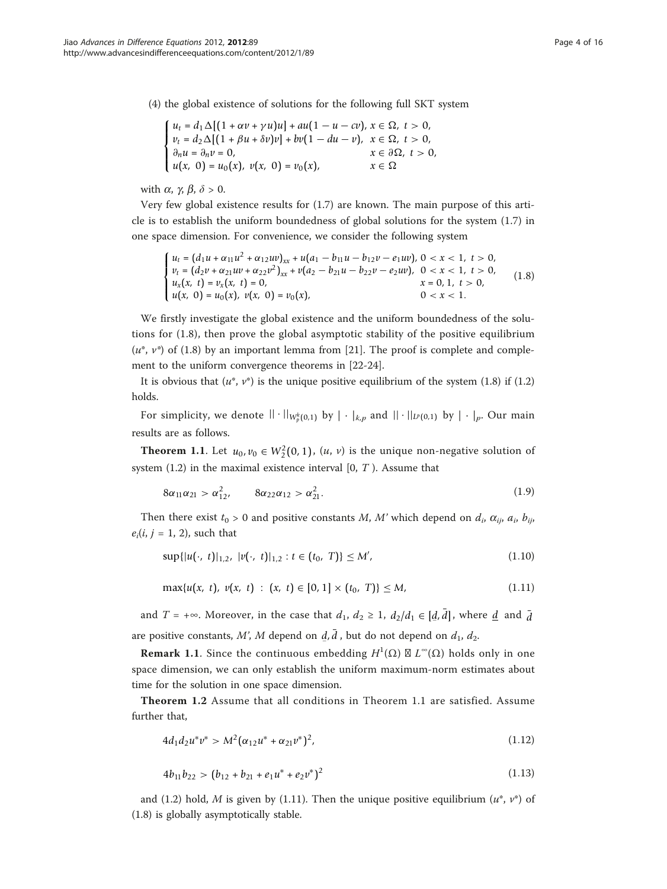(4) the global existence of solutions for the following full SKT system

$$
\begin{cases}\n u_t = d_1 \Delta [(1 + \alpha v + \gamma u)u] + au(1 - u - cv), \, x \in \Omega, \, t > 0, \\
 v_t = d_2 \Delta [(1 + \beta u + \delta v)v] + bv(1 - du - v), \, x \in \Omega, \, t > 0, \\
 \partial_n u = \partial_n v = 0, \, x \in \partial \Omega, \, t > 0, \\
 u(x, 0) = u_0(x), \, v(x, 0) = v_0(x), \, x \in \Omega\n\end{cases}
$$

with  $\alpha$ ,  $\gamma$ ,  $\beta$ ,  $\delta > 0$ .

Very few global existence results for (1.7) are known. The main purpose of this article is to establish the uniform boundedness of global solutions for the system (1.7) in one space dimension. For convenience, we consider the following system

$$
\begin{cases}\nu_t = (d_1u + \alpha_{11}u^2 + \alpha_{12}uv)_{xx} + u(a_1 - b_{11}u - b_{12}v - e_1uv), 0 < x < 1, \ t > 0, \\
v_t = (d_2v + \alpha_{21}uv + \alpha_{22}v^2)_{xx} + v(a_2 - b_{21}u - b_{22}v - e_2uv), 0 < x < 1, \ t > 0, \\
u_x(x, t) = v_x(x, t) = 0, & x = 0, 1, \ t > 0, \\
u(x, 0) = u_0(x), v(x, 0) = v_0(x), & 0 < x < 1.\n\end{cases} \tag{1.8}
$$

We firstly investigate the global existence and the uniform boundedness of the solutions for (1.8), then prove the global asymptotic stability of the positive equilibrium  $(u^*, v^*)$  of (1.8) by an important lemma from [\[21](#page-15-0)]. The proof is complete and complement to the uniform convergence theorems in [[22-24](#page-15-0)].

It is obvious that  $(u^*, v^*)$  is the unique positive equilibrium of the system (1.8) if (1.2) holds.

For simplicity, we denote  $|| \cdot ||_{W_p^k(0,1)}$  by  $|| \cdot ||_{k,p}$  and  $|| \cdot ||_{L^p(0,1)}$  by  $|| \cdot ||_p$ . Our main results are as follows.

**Theorem 1.1.** Let  $u_0, v_0 \in W_2^2(0, 1)$ ,  $(u, v)$  is the unique non-negative solution of system  $(1.2)$  in the maximal existence interval  $[0, T)$ . Assume that

$$
8\alpha_{11}\alpha_{21} > \alpha_{12}^2, \qquad 8\alpha_{22}\alpha_{12} > \alpha_{21}^2. \tag{1.9}
$$

Then there exist  $t_0 > 0$  and positive constants M, M' which depend on  $d_i$ ,  $\alpha_{ii}$ ,  $a_i$ ,  $b_{ii}$ ,  $e_i(i, j = 1, 2)$ , such that

$$
\sup\{|u(\cdot, t)|_{1,2}, |v(\cdot, t)|_{1,2} : t \in (t_0, T)\} \le M', \tag{1.10}
$$

$$
\max\{u(x, t), v(x, t) : (x, t) \in [0, 1] \times (t_0, T)\} \le M,\tag{1.11}
$$

and  $T = +\infty$ . Moreover, in the case that  $d_1$ ,  $d_2 \ge 1$ ,  $d_2/d_1 \in [d, \bar{d}]$ , where <u>d</u> and  $\bar{d}$ are positive constants, M', M depend on  $\vec{d}$ ,  $\vec{d}$ , but do not depend on  $d_1$ ,  $d_2$ .

**Remark 1.1.** Since the continuous embedding  $H^1(\Omega) \boxtimes L^{\infty}(\Omega)$  holds only in one space dimension, we can only establish the uniform maximum-norm estimates about time for the solution in one space dimension.

Theorem 1.2 Assume that all conditions in Theorem 1.1 are satisfied. Assume further that,

$$
4d_1d_2u^*v^* > M^2(\alpha_{12}u^* + \alpha_{21}v^*)^2, \qquad (1.12)
$$

$$
4b_{11}b_{22} > (b_{12} + b_{21} + e_1u^* + e_2v^*)^2
$$
\n(1.13)

and (1.2) hold, M is given by (1.11). Then the unique positive equilibrium  $(u^*, v^*)$  of (1.8) is globally asymptotically stable.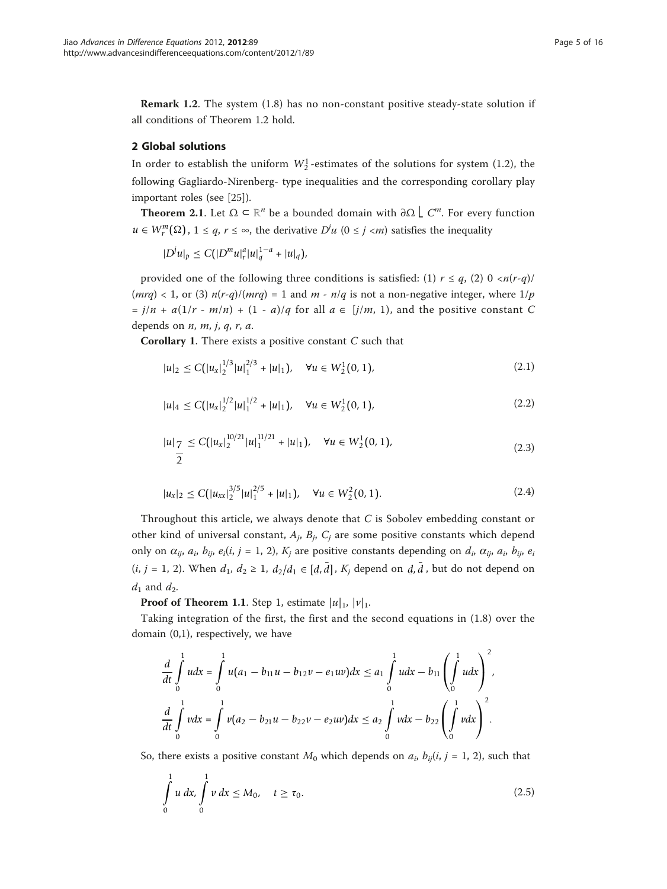Remark 1.2. The system (1.8) has no non-constant positive steady-state solution if all conditions of Theorem 1.2 hold.

# 2 Global solutions

In order to establish the uniform  $W_2^1$ -estimates of the solutions for system (1.2), the following Gagliardo-Nirenberg- type inequalities and the corresponding corollary play important roles (see [\[25](#page-15-0)]).

**Theorem 2.1.** Let  $\Omega \subset \mathbb{R}^n$  be a bounded domain with  $\partial \Omega$   $\bigcup C^m$ . For every function *u* ∈  $W_r^m(\Omega)$ , 1 ≤ *q*, *r* ≤ ∞, the derivative *D*<sup>*u*</sup> (0 ≤ *j* <*m*) satisfies the inequality

 $|D^j u|_p \leq C(|D^m u|_r^a |u|_q^{1-a} + |u|_q),$ 

provided one of the following three conditions is satisfied: (1)  $r \leq q$ , (2) 0  $\langle n(r-q) \rangle$  $(mrq) < 1$ , or (3)  $n(r-q)/(mrq) = 1$  and  $m - n/q$  is not a non-negative integer, where  $1/p$ =  $j/n + a(1/r - m/n) + (1 - a)/q$  for all  $a \in [j/m, 1)$ , and the positive constant C depends on  $n$ ,  $m$ ,  $j$ ,  $q$ ,  $r$ ,  $a$ .

**Corollary 1.** There exists a positive constant  $C$  such that

$$
|u|_2 \le C\left(|u_x|_2^{1/3}|u_1^{2/3} + |u|_1\right), \quad \forall u \in W_2^1(0, 1),\tag{2.1}
$$

$$
|u|_4 \le C\left(|u_x|_2^{1/2}|u|_1^{1/2} + |u|_1\right), \quad \forall u \in W_2^1(0, 1),\tag{2.2}
$$

$$
|u|_{\frac{7}{2}} \leq C\left(|u_{x}|_{2}^{10/21}|u|_{1}^{11/21}+|u|_{1}\right), \quad \forall u \in W_{2}^{1}(0, 1), \tag{2.3}
$$

$$
|u_x|_2 \le C\left(|u_{xx}|_2^{3/5}|u|_1^{2/5} + |u|_1\right), \quad \forall u \in W_2^2(0, 1). \tag{2.4}
$$

Throughout this article, we always denote that  $C$  is Sobolev embedding constant or other kind of universal constant,  $A_j$ ,  $B_j$ ,  $C_j$  are some positive constants which depend only on  $\alpha_{ij}$ ,  $a_i$ ,  $b_{ij}$ ,  $e_i(i, j = 1, 2)$ ,  $K_j$  are positive constants depending on  $d_i$ ,  $\alpha_{ij}$ ,  $a_i$ ,  $b_{ij}$ ,  $e_i$  $(i, j = 1, 2)$ . When  $d_1, d_2 \geq 1$ ,  $d_2/d_1 \in [d, \bar{d}]$ ,  $K_j$  depend on  $\bar{d}, \bar{d}$ , but do not depend on  $d_1$  and  $d_2$ .

**Proof of Theorem 1.1.** Step 1, estimate  $|u|_1$ ,  $|v|_1$ .

Taking integration of the first, the first and the second equations in (1.8) over the domain (0,1), respectively, we have

$$
\frac{d}{dt} \int_{0}^{1} u dx = \int_{0}^{1} u(a_1 - b_{11}u - b_{12}v - e_1uv) dx \le a_1 \int_{0}^{1} u dx - b_{11} \left( \int_{0}^{1} u dx \right)^2,
$$
  

$$
\frac{d}{dt} \int_{0}^{1} v dx = \int_{0}^{1} v(a_2 - b_{21}u - b_{22}v - e_2uv) dx \le a_2 \int_{0}^{1} v dx - b_{22} \left( \int_{0}^{1} v dx \right)^2.
$$

So, there exists a positive constant  $M_0$  which depends on  $a_i$ ,  $b_{ij}(i, j = 1, 2)$ , such that

$$
\int_{0}^{1} u \, dx, \int_{0}^{1} v \, dx \le M_0, \quad t \ge \tau_0.
$$
\n(2.5)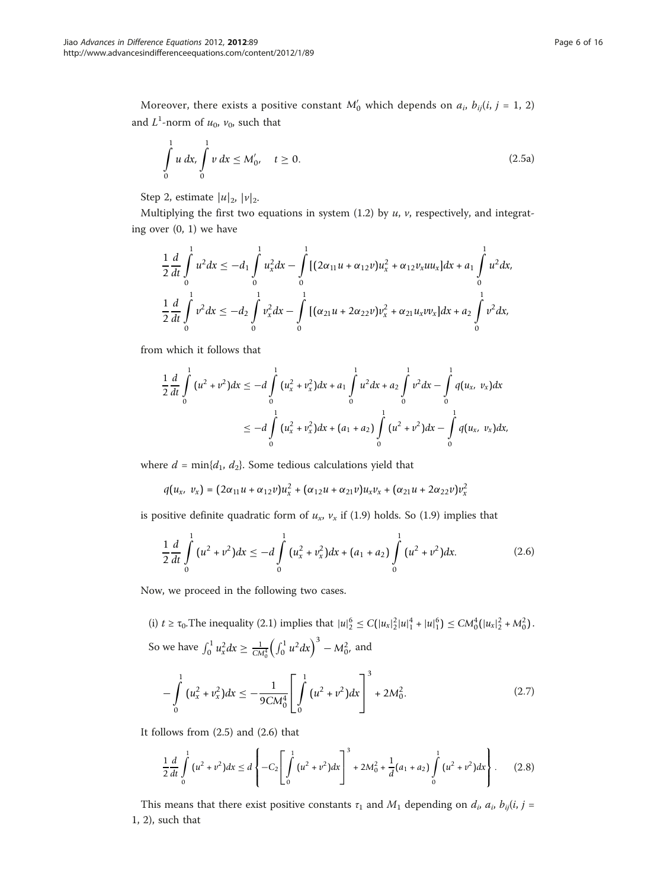Moreover, there exists a positive constant  $M'_0$  which depends on  $a_i$ ,  $b_{ij}(i, j = 1, 2)$ and  $L^1$ -norm of  $u_0$ ,  $v_0$ , such that

$$
\int_{0}^{1} u \, dx, \int_{0}^{1} v \, dx \le M_0', \quad t \ge 0.
$$
\n(2.5a)

Step 2, estimate  $|u|_2$ ,  $|v|_2$ .

Multiplying the first two equations in system  $(1.2)$  by  $u$ ,  $v$ , respectively, and integrating over (0, 1) we have

$$
\frac{1}{2}\frac{d}{dt}\int_{0}^{1}u^{2}dx \leq -d_{1}\int_{0}^{1}u_{x}^{2}dx - \int_{0}^{1}[(2\alpha_{11}u + \alpha_{12}v)u_{x}^{2} + \alpha_{12}v_{x}uu_{x}]dx + a_{1}\int_{0}^{1}u^{2}dx,
$$
  

$$
\frac{1}{2}\frac{d}{dt}\int_{0}^{1}v^{2}dx \leq -d_{2}\int_{0}^{1}v_{x}^{2}dx - \int_{0}^{1}[(\alpha_{21}u + 2\alpha_{22}v)v_{x}^{2} + \alpha_{21}u_{x}vv_{x}]dx + a_{2}\int_{0}^{1}v^{2}dx,
$$

from which it follows that

$$
\frac{1}{2}\frac{d}{dt}\int_{0}^{1}(u^{2}+v^{2})dx \leq -d\int_{0}^{1}(u_{x}^{2}+v_{x}^{2})dx + a_{1}\int_{0}^{1}u^{2}dx + a_{2}\int_{0}^{1}v^{2}dx - \int_{0}^{1}q(u_{x}, v_{x})dx
$$
\n
$$
\leq -d\int_{0}^{1}(u_{x}^{2}+v_{x}^{2})dx + (a_{1}+a_{2})\int_{0}^{1}(u^{2}+v^{2})dx - \int_{0}^{1}q(u_{x}, v_{x})dx,
$$

where  $d = min\{d_1, d_2\}$ . Some tedious calculations yield that

$$
q(u_x, v_x) = (2\alpha_{11}u + \alpha_{12}v)u_x^2 + (\alpha_{12}u + \alpha_{21}v)u_xv_x + (\alpha_{21}u + 2\alpha_{22}v)v_x^2
$$

is positive definite quadratic form of  $u_x$ ,  $v_x$  if (1.9) holds. So (1.9) implies that

$$
\frac{1}{2}\frac{d}{dt}\int_{0}^{1}\left(u^{2}+v^{2}\right)dx \leq -d\int_{0}^{1}\left(u_{x}^{2}+v_{x}^{2}\right)dx + \left(a_{1}+a_{2}\right)\int_{0}^{1}\left(u^{2}+v^{2}\right)dx.
$$
 (2.6)

Now, we proceed in the following two cases.

(i)  $t \ge \tau_0$ . The inequality (2.1) implies that  $|u|_2^6 \le C(|u_x|^2_2|u|^4_1 + |u|^6_1) \le CM_0^4(|u_x|^2_2 + M_0^2)$ . So we have  $\int_0^1 u_x^2 dx \ge \frac{1}{CM_0^4} \left( \int_0^1 u^2 dx \right)^3 - M_0^2$ , and

$$
-\int_{0}^{1} (u_x^2 + v_x^2) dx \le -\frac{1}{9CM_0^4} \left[ \int_{0}^{1} (u^2 + v^2) dx \right]^3 + 2M_0^2.
$$
 (2.7)

It follows from (2.5) and (2.6) that

$$
\frac{1}{2}\frac{d}{dt}\int_{0}^{1}\left(u^{2}+v^{2}\right)dx \leq d\left\{-C_{2}\left[\int_{0}^{1}\left(u^{2}+v^{2}\right)dx\right]^{3}+2M_{0}^{2}+\frac{1}{d}\left(a_{1}+a_{2}\right)\int_{0}^{1}\left(u^{2}+v^{2}\right)dx\right\}.
$$
 (2.8)

This means that there exist positive constants  $\tau_1$  and  $M_1$  depending on  $d_i$ ,  $a_i$ ,  $b_{ij}(i, j =$ 1, 2), such that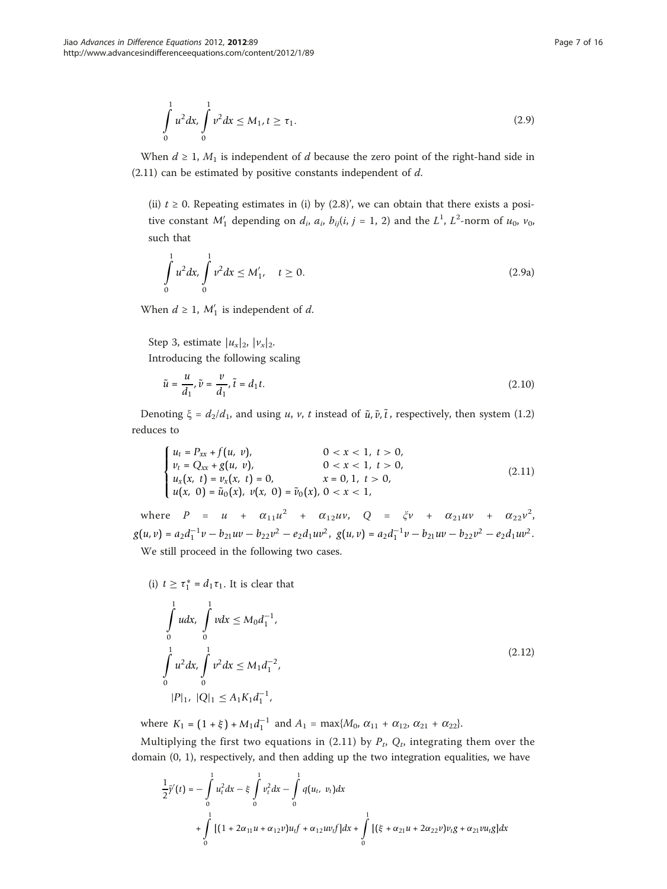$$
\int_{0}^{1} u^{2} dx, \int_{0}^{1} v^{2} dx \le M_{1}, t \ge \tau_{1}.
$$
\n(2.9)

When  $d \geq 1$ ,  $M_1$  is independent of d because the zero point of the right-hand side in  $(2.11)$  can be estimated by positive constants independent of  $d$ .

(ii)  $t \ge 0$ . Repeating estimates in (i) by (2.8)', we can obtain that there exists a positive constant  $M'_1$  depending on  $d_i$ ,  $a_i$ ,  $b_{ij}(i, j = 1, 2)$  and the  $L^1$ ,  $L^2$ -norm of  $u_0$ ,  $v_0$ , such that

$$
\int_{0}^{1} u^{2} dx, \int_{0}^{1} v^{2} dx \le M_{1}', \quad t \ge 0.
$$
\n(2.9a)

When  $d \geq 1$ ,  $M'_1$  is independent of d.

Step 3, estimate  $|u_x|_2$ ,  $|v_x|_2$ .

Introducing the following scaling

$$
\tilde{u} = \frac{u}{d_1}, \tilde{v} = \frac{v}{d_1}, \tilde{t} = d_1 t. \tag{2.10}
$$

Denoting  $\xi = d_2/d_1$ , and using u, v, t instead of  $\tilde{u}$ ,  $\tilde{v}$ ,  $\tilde{t}$ , respectively, then system (1.2) reduces to

$$
\begin{cases}\n u_t = P_{xx} + f(u, v), & 0 < x < 1, t > 0, \\
 v_t = Q_{xx} + g(u, v), & 0 < x < 1, t > 0, \\
 u_x(x, t) = v_x(x, t) = 0, & x = 0, 1, t > 0, \\
 u(x, 0) = \tilde{u}_0(x), v(x, 0) = \tilde{v}_0(x), 0 < x < 1,\n\end{cases}
$$
\n(2.11)

where  $P = u + \alpha_{11}u^2 + \alpha_{12}uv$ ,  $Q = \xi v + \alpha_{21}uv + \alpha_{22}v^2$  $g(u, v) = a_2 d_1^{-1} v - b_{21} u v - b_{22} v^2 - e_2 d_1 u v^2$ ,  $g(u, v) = a_2 d_1^{-1} v - b_{21} u v - b_{22} v^2 - e_2 d_1 u v^2$ . We still proceed in the following two cases.

(i) 
$$
t \ge \tau_1^* = d_1 \tau_1
$$
. It is clear that

$$
\int_{0}^{1} u dx, \int_{0}^{1} v dx \le M_0 d_1^{-1},
$$
\n
$$
\int_{0}^{1} u^2 dx, \int_{0}^{1} v^2 dx \le M_1 d_1^{-2},
$$
\n
$$
|P|_{1}, |Q|_{1} \le A_1 K_1 d_1^{-1},
$$
\n(2.12)

where  $K_1 = (1 + \xi) + M_1 d_1^{-1}$  and  $A_1 = \max\{M_0, \alpha_{11} + \alpha_{12}, \alpha_{21} + \alpha_{22}\}.$ 

Multiplying the first two equations in (2.11) by  $P_t$ ,  $Q_t$ , integrating them over the domain (0, 1), respectively, and then adding up the two integration equalities, we have

$$
\frac{1}{2}\bar{y}'(t) = -\int_{0}^{1} u_t^2 dx - \xi \int_{0}^{1} v_t^2 dx - \int_{0}^{1} q(u_t, v_t) dx
$$
  
+ 
$$
\int_{0}^{1} [(1 + 2\alpha_{11}u + \alpha_{12}v)u_t f + \alpha_{12}u v_t f] dx + \int_{0}^{1} [(\xi + \alpha_{21}u + 2\alpha_{22}v)v_t g + \alpha_{21}vu_t g] dx
$$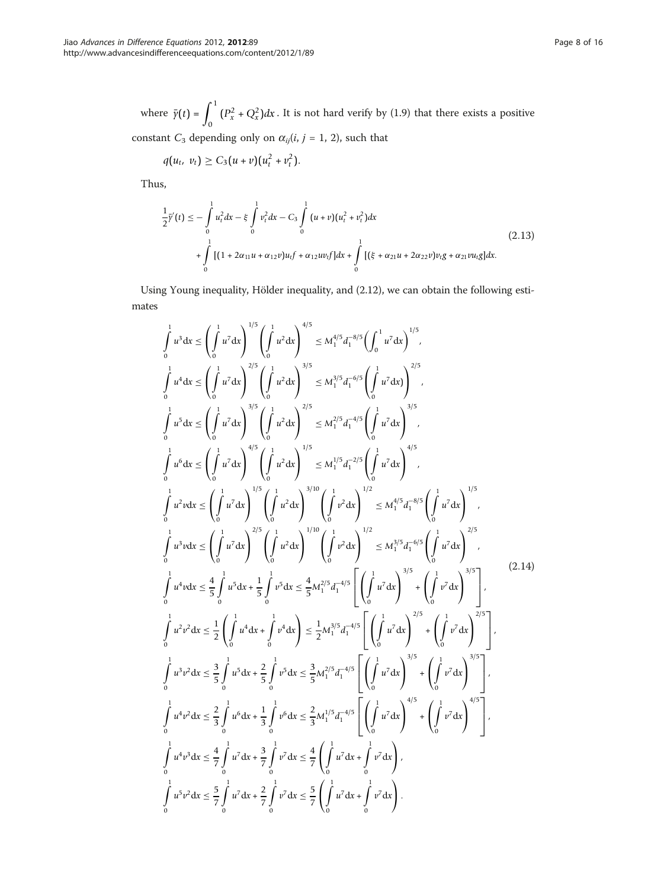where  $\bar{\gamma}(t) = \int_0^1$  $(P_x^2 + Q_x^2)dx$ . It is not hard verify by (1.9) that there exists a positive

constant  $C_3$  depending only on  $\alpha_{ij}(i, j = 1, 2)$ , such that

$$
q(u_t, v_t) \geq C_3(u+v)(u_t^2 + v_t^2).
$$

Thus,

$$
\frac{1}{2}\bar{\gamma}'(t) \leq -\int_{0}^{1} u_t^2 dx - \xi \int_{0}^{1} v_t^2 dx - C_3 \int_{0}^{1} (u+v)(u_t^2 + v_t^2) dx
$$
\n
$$
+ \int_{0}^{1} [(1 + 2\alpha_{11}u + \alpha_{12}v)u_t f + \alpha_{12}u v_t f] dx + \int_{0}^{1} [(\xi + \alpha_{21}u + 2\alpha_{22}v)v_t g + \alpha_{21}vu_t g] dx.
$$
\n(2.13)

Using Young inequality, Hölder inequality, and (2.12), we can obtain the following estimates

$$
\int_{0}^{1} u^{3} dx \leq \left(\int_{0}^{1} u^{7} dx\right)^{1/5} \left(\int_{0}^{1} u^{2} dx\right)^{4/5} \leq M_{1}^{4/5} d_{1}^{-8/5} \left(\int_{0}^{1} u^{7} dx\right)^{1/5},
$$
\n
$$
\int_{0}^{1} u^{4} dx \leq \left(\int_{0}^{1} u^{7} dx\right)^{2/5} \left(\int_{0}^{1} u^{2} dx\right)^{2/5} \leq M_{1}^{2/5} d_{1}^{-6/5} \left(\int_{0}^{1} u^{7} dx\right)^{2/5},
$$
\n
$$
\int_{0}^{1} u^{5} dx \leq \left(\int_{0}^{1} u^{7} dx\right)^{3/5} \left(\int_{0}^{1} u^{2} dx\right)^{2/5} \leq M_{1}^{2/5} d_{1}^{-4/5} \left(\int_{0}^{1} u^{7} dx\right)^{3/5},
$$
\n
$$
\int_{0}^{1} u^{6} dx \leq \left(\int_{0}^{1} u^{7} dx\right)^{4/5} \left(\int_{0}^{1} u^{2} dx\right)^{1/5} \leq M_{1}^{1/5} d_{1}^{-2/5} \left(\int_{0}^{1} u^{7} dx\right)^{4/5},
$$
\n
$$
\int_{0}^{1} u^{2} v dx \leq \left(\int_{0}^{1} u^{7} dx\right)^{1/5} \left(\int_{0}^{1} u^{2} dx\right)^{1/10} \left(\int_{0}^{1} v^{2} dx\right)^{1/2} \leq M_{1}^{4/5} d_{1}^{-8/5} \left(\int_{0}^{1} u^{7} dx\right)^{1/5},
$$
\n
$$
\int_{0}^{1} u^{2} v dx \leq \left(\int_{0}^{1} u^{7} dx\right)^{2/5} \left(\int_{0}^{1} u^{2} dx\right)^{1/10} \left(\int_{0}^{1} v^{2} dx\right)^{1/2} \leq M_{1}^{4/5} d_{1}^{-6/5} \left(\int_{0}^{1} u^{7} dx\right)^{1/5},
$$
\n
$$
\int_{0}^{1} u^{4} v dx \leq \frac{
$$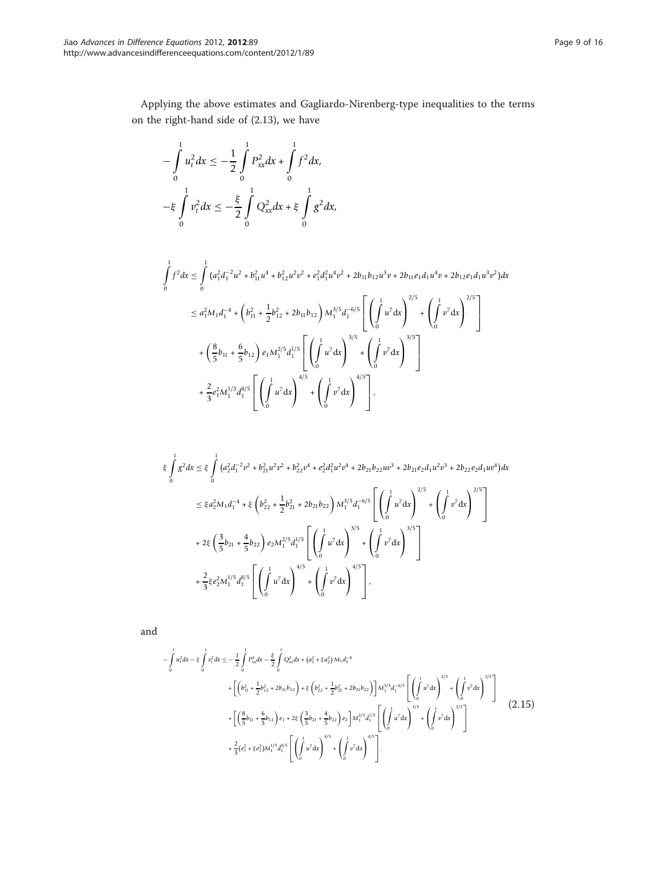Applying the above estimates and Gagliardo-Nirenberg-type inequalities to the terms on the right-hand side of (2.13), we have

$$
-\int_{0}^{1} u_{t}^{2} dx \leq -\frac{1}{2} \int_{0}^{1} P_{xx}^{2} dx + \int_{0}^{1} f^{2} dx,
$$
  

$$
-\xi \int_{0}^{1} v_{t}^{2} dx \leq -\frac{\xi}{2} \int_{0}^{1} Q_{xx}^{2} dx + \xi \int_{0}^{1} g^{2} dx,
$$

$$
\int_{0}^{1} f^{2} dx \leq \int_{0}^{1} (a_{1}^{2} d_{1}^{-2} u^{2} + b_{11}^{2} u^{4} + b_{12}^{2} u^{2} v^{2} + e_{1}^{2} d_{1}^{2} u^{4} v^{2} + 2 b_{11} b_{12} u^{3} v + 2 b_{11} e_{1} d_{1} u^{4} v + 2 b_{12} e_{1} d_{1} u^{3} v^{2}) dx
$$
  
\n
$$
\leq a_{1}^{2} M_{1} d_{1}^{-4} + \left(b_{11}^{2} + \frac{1}{2} b_{12}^{2} + 2 b_{11} b_{12}\right) M_{1}^{3/5} d_{1}^{-6/5} \left[ \left(\int_{0}^{1} u^{7} dx\right)^{2/5} + \left(\int_{0}^{1} v^{7} dx\right)^{2/5} \right]
$$
  
\n
$$
+ \left(\frac{8}{5} b_{11} + \frac{6}{5} b_{12}\right) e_{1} M_{1}^{2/5} d_{1}^{1/5} \left[ \left(\int_{0}^{1} u^{7} dx\right)^{3/5} + \left(\int_{0}^{1} v^{7} dx\right)^{3/5} \right]
$$
  
\n
$$
+ \frac{2}{3} e_{1}^{2} M_{1}^{1/5} d_{1}^{8/5} \left[ \left(\int_{0}^{1} u^{7} dx\right)^{4/5} + \left(\int_{0}^{1} v^{7} dx\right)^{4/5} \right],
$$

$$
\xi \int_{0}^{1} g^{2} dx \leq \xi \int_{0}^{1} (a_{2}^{2} a_{1}^{-2} v^{2} + b_{21}^{2} u^{2} v^{2} + b_{22}^{2} v^{4} + e_{2}^{2} d_{1}^{2} u^{2} v^{4} + 2 b_{21} b_{22} u v^{3} + 2 b_{21} e_{2} d_{1} u^{2} v^{3} + 2 b_{22} e_{2} d_{1} u v^{4}) dx
$$
  
\n
$$
\leq \xi a_{2}^{2} M_{1} d_{1}^{-4} + \xi \left( b_{22}^{2} + \frac{1}{2} b_{21}^{2} + 2 b_{21} b_{22} \right) M_{1}^{3/5} d_{1}^{-6/5} \left[ \left( \int_{0}^{1} u^{7} dx \right)^{2/5} + \left( \int_{0}^{1} v^{7} dx \right)^{2/5} \right]
$$
  
\n
$$
+ 2 \xi \left( \frac{3}{5} b_{21} + \frac{4}{5} b_{22} \right) e_{2} M_{1}^{2/5} d_{1}^{1/5} \left[ \left( \int_{0}^{1} u^{7} dx \right)^{3/5} + \left( \int_{0}^{1} v^{7} dx \right)^{3/5} \right]
$$
  
\n
$$
+ \frac{2}{3} \xi e_{2}^{2} M_{1}^{1/5} d_{1}^{8/5} \left[ \left( \int_{0}^{1} u^{7} dx \right)^{4/5} + \left( \int_{0}^{1} v^{7} dx \right)^{4/5} \right],
$$

and

$$
-\int_{0}^{1} u_{t}^{2} dx - \xi \int_{0}^{1} v_{t}^{2} dx \leq -\frac{1}{2} \int_{0}^{1} P_{xx}^{2} dx - \frac{\xi}{2} \int_{0}^{1} Q_{xx}^{2} dx + (a_{1}^{2} + \xi a_{2}^{2}) M_{1} d_{1}^{-4}
$$
  
+ 
$$
\left[ \left( b_{11}^{2} + \frac{1}{2} b_{12}^{2} + 2 b_{11} b_{12} \right) + \xi \left( b_{22}^{2} + \frac{1}{2} b_{21}^{2} + 2 b_{21} b_{22} \right) \right] M_{1}^{3/5} d_{1}^{-6/5} \left[ \left( \int_{0}^{1} u^{7} dx \right)^{2/5} + \left( \int_{0}^{1} v^{7} dx \right)^{2/5} \right]
$$
  
+ 
$$
\left[ \left( \frac{8}{5} b_{11} + \frac{6}{5} b_{12} \right) e_{1} + 2\xi \left( \frac{3}{5} b_{21} + \frac{4}{5} b_{22} \right) e_{2} \right] M_{1}^{2/5} d_{1}^{1/5} \left[ \left( \int_{0}^{1} u^{7} dx \right)^{3/5} + \left( \int_{0}^{1} v^{7} dx \right)^{3/5} \right]
$$
  
+ 
$$
\frac{2}{3} (e_{1}^{2} + \xi e_{2}^{2}) M_{1}^{1/5} d_{1}^{8/5} \left[ \left( \int_{0}^{1} u^{7} dx \right)^{4/5} + \left( \int_{0}^{1} v^{7} dx \right)^{4/5} \right].
$$
 (2.15)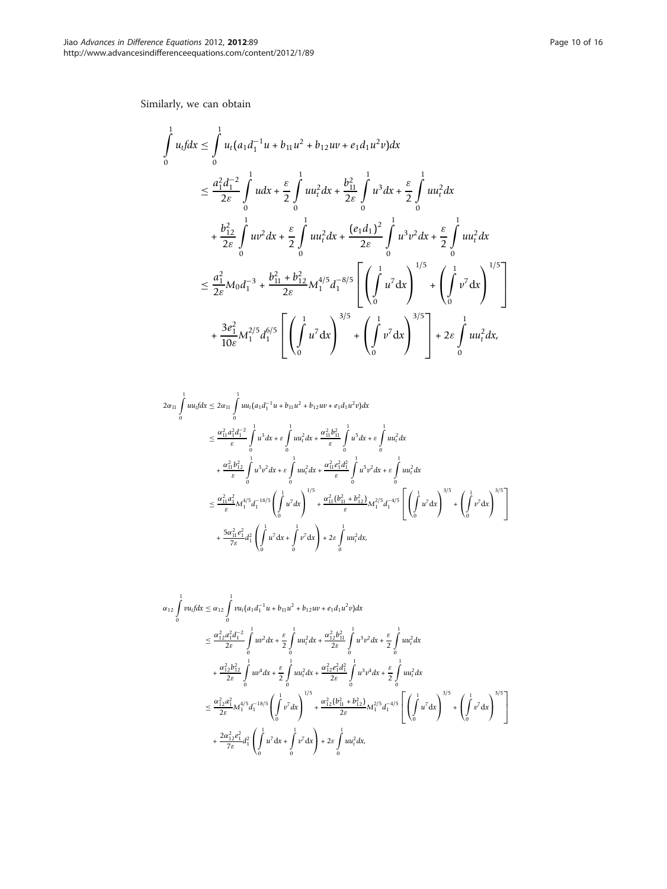Similarly, we can obtain

$$
\int_{0}^{1} u_{t} f dx \leq \int_{0}^{1} u_{t} (a_{1} d_{1}^{-1} u + b_{11} u^{2} + b_{12} u v + e_{1} d_{1} u^{2} v) dx
$$
\n
$$
\leq \frac{a_{1}^{2} d_{1}^{-2}}{2 \varepsilon} \int_{0}^{1} u dx + \frac{\varepsilon}{2} \int_{0}^{1} u u_{t}^{2} dx + \frac{b_{11}^{2}}{2 \varepsilon} \int_{0}^{1} u^{3} dx + \frac{\varepsilon}{2} \int_{0}^{1} u u_{t}^{2} dx
$$
\n
$$
+ \frac{b_{12}^{2}}{2 \varepsilon} \int_{0}^{1} u v^{2} dx + \frac{\varepsilon}{2} \int_{0}^{1} u u_{t}^{2} dx + \frac{(e_{1} d_{1})^{2}}{2 \varepsilon} \int_{0}^{1} u^{3} v^{2} dx + \frac{\varepsilon}{2} \int_{0}^{1} u u_{t}^{2} dx
$$
\n
$$
\leq \frac{a_{1}^{2}}{2 \varepsilon} M_{0} d_{1}^{-3} + \frac{b_{11}^{2} + b_{12}^{2}}{2 \varepsilon} M_{1}^{4/5} d_{1}^{-8/5} \left[ \left( \int_{0}^{1} u^{7} dx \right)^{1/5} + \left( \int_{0}^{1} v^{7} dx \right)^{1/5} \right]
$$
\n
$$
+ \frac{3e_{1}^{2}}{10 \varepsilon} M_{1}^{2/5} d_{1}^{6/5} \left[ \left( \int_{0}^{1} u^{7} dx \right)^{3/5} + \left( \int_{0}^{1} v^{7} dx \right)^{3/5} \right] + 2\varepsilon \int_{0}^{1} u u_{t}^{2} dx,
$$

$$
2\alpha_{11} \int_{0}^{1} u u_{t} dx \leq 2\alpha_{11} \int_{0}^{1} u u_{t} (a_{1} d_{1}^{-1} u + b_{11} u^{2} + b_{12} u v + e_{1} d_{1} u^{2} v) dx
$$
  
\n
$$
\leq \frac{\alpha_{11}^{2} a_{1}^{2} d_{1}^{-2}}{\varepsilon} \int_{0}^{1} u^{3} dx + \varepsilon \int_{0}^{1} u u_{t}^{2} dx + \frac{\alpha_{11}^{2} b_{11}^{2}}{\varepsilon} \int_{0}^{1} u^{5} dx + \varepsilon \int_{0}^{1} u u_{t}^{2} dx
$$
  
\n
$$
+ \frac{\alpha_{11}^{2} b_{12}^{2}}{\varepsilon} \int_{0}^{1} u^{3} v^{2} dx + \varepsilon \int_{0}^{1} u u_{t}^{2} dx + \frac{\alpha_{11}^{2} e_{11}^{2} d_{1}^{2}}{\varepsilon} \int_{0}^{1} u^{5} v^{2} dx + \varepsilon \int_{0}^{1} u u_{t}^{2} dx
$$
  
\n
$$
\leq \frac{\alpha_{11}^{2} a_{1}^{2}}{\varepsilon} M_{1}^{4/5} a_{1}^{-18/5} \left( \int_{0}^{1} u^{7} dx \right)^{1/5} + \frac{\alpha_{11}^{2} (b_{11}^{2} + b_{12}^{2})}{\varepsilon} M_{1}^{2/5} a_{1}^{-4/5} \left[ \left( \int_{0}^{1} u^{7} dx \right)^{3/5} + \left( \int_{0}^{1} v^{7} dx \right)^{3/5} \right]
$$
  
\n
$$
+ \frac{5\alpha_{11}^{2} e_{1}^{2}}{7\varepsilon} d_{1}^{2} \left( \int_{0}^{1} u^{7} dx + \int_{0}^{1} v^{7} dx \right) + 2\varepsilon \int_{0}^{1} u u_{t}^{2} dx,
$$

$$
\alpha_{12} \int_{0}^{1} vu_{t} f dx \leq \alpha_{12} \int_{0}^{1} vu_{t} (a_{1} d_{1}^{-1} u + b_{11} u^{2} + b_{12} u v + e_{1} d_{11} u^{2} v) dx
$$
  
\n
$$
\leq \frac{\alpha_{12}^{2} a_{1}^{2} d_{1}^{-2}}{2 \epsilon} \int_{0}^{1} uv^{2} dx + \frac{\epsilon}{2} \int_{0}^{1} u u_{t}^{2} dx + \frac{\alpha_{12}^{2} b_{11}^{2}}{2 \epsilon} \int_{0}^{1} u^{3} v^{2} dx + \frac{\epsilon}{2} \int_{0}^{1} u u_{t}^{2} dx
$$
  
\n
$$
+ \frac{\alpha_{12}^{2} b_{12}^{2}}{2 \epsilon} \int_{0}^{1} u v^{4} dx + \frac{\epsilon}{2} \int_{0}^{1} u u_{t}^{2} dx + \frac{\alpha_{12}^{2} e_{1}^{2} d_{1}^{2}}{2 \epsilon} \int_{0}^{1} u^{3} v^{4} dx + \frac{\epsilon}{2} \int_{0}^{1} u u_{t}^{2} dx
$$
  
\n
$$
\leq \frac{\alpha_{12}^{2} a_{1}^{2}}{2 \epsilon} M_{1}^{4/5} d_{1}^{-18/5} \left( \int_{0}^{1} v^{7} dx \right)^{1/5} + \frac{\alpha_{12}^{2} (b_{11}^{2} + b_{12}^{2})}{2 \epsilon} M_{1}^{2/5} d_{1}^{-4/5} \left[ \left( \int_{0}^{1} u^{7} dx \right)^{3/5} + \left( \int_{0}^{1} v^{7} dx \right)^{3/5} \right]
$$
  
\n
$$
+ \frac{2\alpha_{12}^{2} e_{1}^{2}}{7 \epsilon} d_{1}^{2} \left( \int_{0}^{1} u^{7} dx + \int_{0}^{1} v^{7} dx \right) + 2 \epsilon \int_{0}^{1} u u_{t}^{2} dx,
$$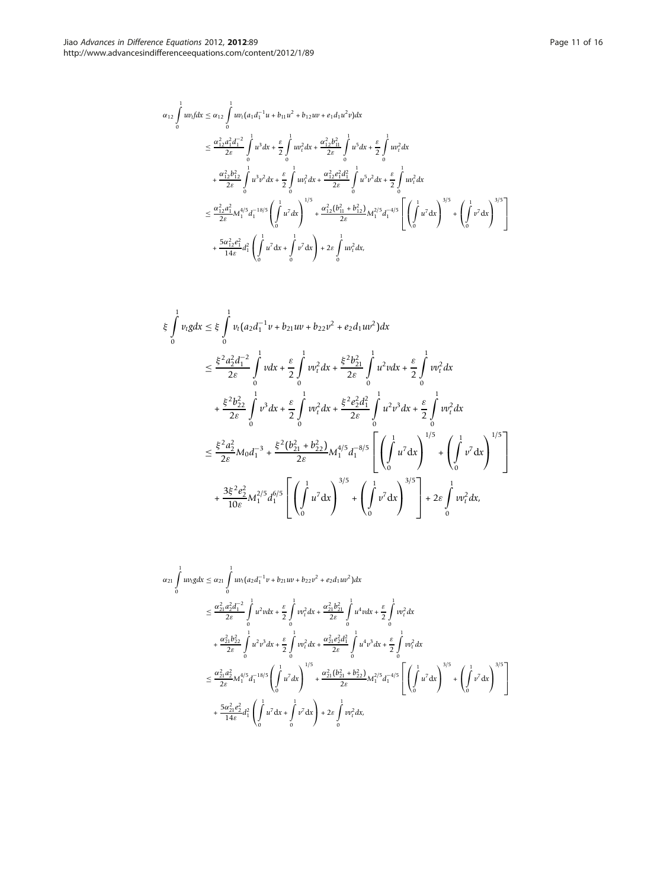$$
\alpha_{12} \int_{0}^{1} uv_{i} f dx \leq \alpha_{12} \int_{0}^{1} uv_{i} (a_{1} d_{1}^{-1} u + b_{11} u^{2} + b_{12} u v + e_{1} d_{11} u^{2} v) dx
$$
  
\n
$$
\leq \frac{\alpha_{12}^{2} a_{1}^{2} d_{1}^{-2}}{2\varepsilon} \int_{0}^{1} u^{3} dx + \frac{\varepsilon}{2} \int_{0}^{1} uv_{i}^{2} dx + \frac{\alpha_{12}^{2} b_{11}^{2}}{2\varepsilon} \int_{0}^{1} u^{5} dx + \frac{\varepsilon}{2} \int_{0}^{1} uv_{i}^{2} dx
$$
  
\n
$$
+ \frac{\alpha_{12}^{2} b_{12}^{2}}{2\varepsilon} \int_{0}^{1} u^{3} v^{2} dx + \frac{\varepsilon}{2} \int_{0}^{1} uv_{i}^{2} dx + \frac{\alpha_{12}^{2} e_{1}^{2} d_{1}^{2}}{2\varepsilon} \int_{0}^{1} u^{5} v^{2} dx + \frac{\varepsilon}{2} \int_{0}^{1} uv_{i}^{2} dx
$$
  
\n
$$
\leq \frac{\alpha_{12}^{2} a_{1}^{2}}{2\varepsilon} M_{1}^{4/5} d_{1}^{-18/5} \left( \int_{0}^{1} u^{7} dx \right)^{1/5} + \frac{\alpha_{12}^{2} (b_{11}^{2} + b_{12}^{2})}{2\varepsilon} M_{1}^{2/5} d_{1}^{-4/5} \left[ \left( \int_{0}^{1} u^{7} dx \right)^{3/5} + \left( \int_{0}^{1} v^{7} dx \right)^{3/5} \right]
$$
  
\n
$$
+ \frac{5\alpha_{12}^{2} e_{1}^{2}}{14\varepsilon} d_{1}^{2} \left( \int_{0}^{1} u^{7} dx + \int_{0}^{1} v^{7} dx \right) + 2\varepsilon \int_{0}^{1} u v_{t}^{2} dx,
$$

$$
\begin{split}\n\xi \int_{0}^{1} v_{t}g dx &\leq \xi \int_{0}^{1} v_{t} \big( a_{2} d_{1}^{-1} v + b_{21} u v + b_{22} v^{2} + e_{2} d_{1} u v^{2} \big) dx \\
&\leq \frac{\xi^{2} a_{2}^{2} d_{1}^{-2}}{2\varepsilon} \int_{0}^{1} v dx + \frac{\varepsilon}{2} \int_{0}^{1} v v_{t}^{2} dx + \frac{\xi^{2} b_{21}^{2}}{2\varepsilon} \int_{0}^{1} u^{2} v dx + \frac{\varepsilon}{2} \int_{0}^{1} v v_{t}^{2} dx \\
&+ \frac{\xi^{2} b_{22}^{2}}{2\varepsilon} \int_{0}^{1} v^{3} dx + \frac{\varepsilon}{2} \int_{0}^{1} v v_{t}^{2} dx + \frac{\xi^{2} e_{2}^{2} d_{1}^{2}}{2\varepsilon} \int_{0}^{1} u^{2} v^{3} dx + \frac{\varepsilon}{2} \int_{0}^{1} v v_{t}^{2} dx \\
&\leq \frac{\xi^{2} a_{2}^{2}}{2\varepsilon} M_{0} d_{1}^{-3} + \frac{\xi^{2} (b_{21}^{2} + b_{22}^{2})}{2\varepsilon} M_{1}^{4/5} d_{1}^{-8/5} \left[ \left( \int_{0}^{1} u^{7} dx \right)^{1/5} + \left( \int_{0}^{1} v^{7} dx \right)^{1/5} \right] \\
&+ \frac{3\xi^{2} e_{2}^{2}}{10\varepsilon} M_{1}^{2/5} d_{1}^{6/5} \left[ \left( \int_{0}^{1} u^{7} dx \right)^{3/5} + \left( \int_{0}^{1} v^{7} dx \right)^{3/5} \right] + 2\varepsilon \int_{0}^{1} v v_{t}^{2} dx,\n\end{split}
$$

$$
\alpha_{21} \int_{0}^{1} uv_{i}g dx \leq \alpha_{21} \int_{0}^{1} uv_{i} (a_{2}d_{1}^{-1}v + b_{21}uv + b_{22}v^{2} + e_{2}d_{1}uv^{2}) dx
$$
  
\n
$$
\leq \frac{\alpha_{21}^{2}a_{2}^{2}d_{1}^{-2}}{2\varepsilon} \int_{0}^{1} u^{2}v dx + \frac{\varepsilon}{2} \int_{0}^{1} v v_{i}^{2} dx + \frac{\alpha_{21}^{2}b_{21}^{2}}{2\varepsilon} \int_{0}^{1} u^{4}v dx + \frac{\varepsilon}{2} \int_{0}^{1} v v_{i}^{2} dx
$$
  
\n
$$
+ \frac{\alpha_{21}^{2}b_{22}^{2}}{2\varepsilon} \int_{0}^{1} u^{2}v^{3} dx + \frac{\varepsilon}{2} \int_{0}^{1} v v_{i}^{2} dx + \frac{\alpha_{21}^{2}e_{21}^{2}d_{1}^{2}}{2\varepsilon} \int_{0}^{1} u^{4}v^{3} dx + \frac{\varepsilon}{2} \int_{0}^{1} v v_{i}^{2} dx
$$
  
\n
$$
\leq \frac{\alpha_{21}^{2}a_{2}^{2}}{2\varepsilon} M_{1}^{4/5} d_{1}^{-18/5} \left( \int_{0}^{1} u^{7} dx \right)^{1/5} + \frac{\alpha_{21}^{2}(b_{21}^{2} + b_{22}^{2})}{2\varepsilon} M_{1}^{2/5} d_{1}^{-4/5} \left[ \left( \int_{0}^{1} u^{7} dx \right)^{3/5} + \left( \int_{0}^{1} v^{7} dx \right)^{3/5} \right]
$$
  
\n
$$
+ \frac{5\alpha_{21}^{2}e_{2}^{2}}{14\varepsilon} d_{1}^{2} \left( \int_{0}^{1} u^{7} dx + \int_{0}^{1} v^{7} dx \right) + 2\varepsilon \int_{0}^{1} u v_{i}^{2} dx,
$$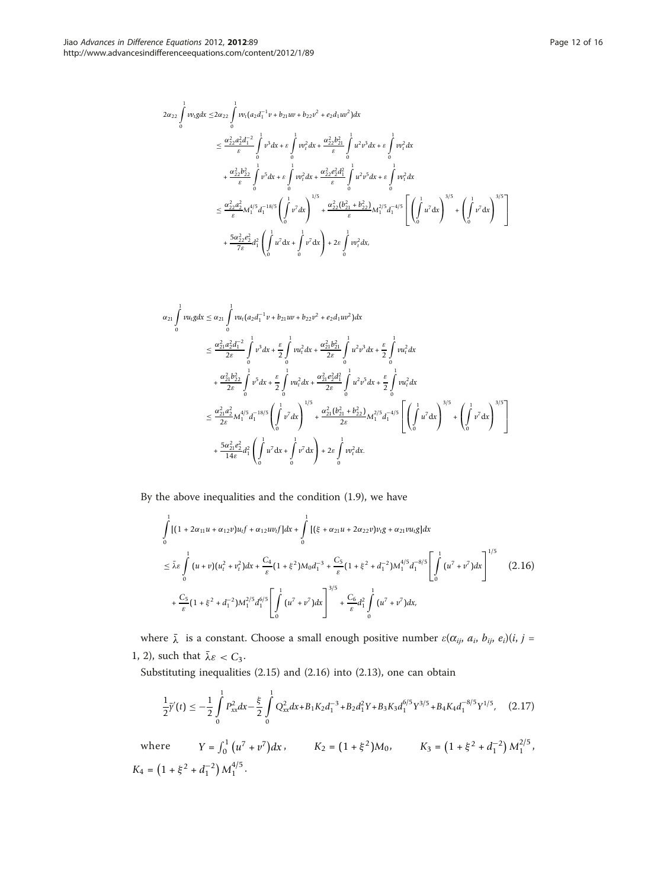$$
2\alpha_{22} \int_{0}^{1} v v_{\ell} g dx \leq 2\alpha_{22} \int_{0}^{1} v v_{\ell} (a_{2} d_{1}^{-1} v + b_{21} u v + b_{22} v^{2} + e_{2} d_{1} u v^{2}) dx
$$
  
\n
$$
\leq \frac{\alpha_{22}^{2} a_{2}^{2} d_{1}^{-2}}{\varepsilon} \int_{0}^{1} v^{3} dx + \varepsilon \int_{0}^{1} v v_{\ell}^{2} dx + \frac{\alpha_{22}^{2} b_{21}^{2}}{\varepsilon} \int_{0}^{1} u^{2} v^{3} dx + \varepsilon \int_{0}^{1} v v_{\ell}^{2} dx
$$
  
\n
$$
+ \frac{\alpha_{22}^{2} b_{22}^{2}}{\varepsilon} \int_{0}^{1} v^{5} dx + \varepsilon \int_{0}^{1} v v_{\ell}^{2} dx + \frac{\alpha_{22}^{2} e_{2}^{2} d_{1}^{2}}{\varepsilon} \int_{0}^{1} u^{2} v^{5} dx + \varepsilon \int_{0}^{1} v v_{\ell}^{2} dx
$$
  
\n
$$
\leq \frac{\alpha_{22}^{2} a_{2}^{2}}{\varepsilon} M_{1}^{4/5} d_{1}^{-18/5} \left( \int_{0}^{1} v^{7} dx \right)^{1/5} + \frac{\alpha_{22}^{2} (b_{21}^{2} + b_{22}^{2})}{\varepsilon} M_{1}^{2/5} d_{1}^{-4/5} \left[ \left( \int_{0}^{1} u^{7} dx \right)^{3/5} + \left( \int_{0}^{1} v^{7} dx \right)^{3/5} \right]
$$
  
\n
$$
+ \frac{5\alpha_{22}^{2} e_{2}^{2}}{7\varepsilon} d_{1}^{2} \left( \int_{0}^{1} u^{7} dx + \int_{0}^{1} v^{7} dx \right) + 2\varepsilon \int_{0}^{1} v \varepsilon^{2} dx,
$$

$$
\alpha_{21} \int_{0}^{1} v u_{t} g dx \leq \alpha_{21} \int_{0}^{1} v u_{t} (a_{2} d_{1}^{-1} v + b_{21} u v + b_{22} v^{2} + e_{2} d_{1} u v^{2}) dx
$$
  
\n
$$
\leq \frac{\alpha_{21}^{2} a_{2}^{2} d_{1}^{-2}}{2 \epsilon} \int_{0}^{1} v^{3} dx + \frac{\epsilon}{2} \int_{0}^{1} v u_{t}^{2} dx + \frac{\alpha_{21}^{2} b_{21}^{2}}{2 \epsilon} \int_{0}^{1} u^{2} v^{3} dx + \frac{\epsilon}{2} \int_{0}^{1} v u_{t}^{2} dx
$$
  
\n
$$
+ \frac{\alpha_{21}^{2} b_{22}^{2}}{2 \epsilon} \int_{0}^{1} v^{5} dx + \frac{\epsilon}{2} \int_{0}^{1} v u_{t}^{2} dx + \frac{\alpha_{21}^{2} e_{2}^{2} d_{1}^{2}}{2 \epsilon} \int_{0}^{1} u^{2} v^{5} dx + \frac{\epsilon}{2} \int_{0}^{1} v u_{t}^{2} dx
$$
  
\n
$$
\leq \frac{\alpha_{21}^{2} a_{2}^{2}}{2 \epsilon} M_{1}^{4/5} d_{1}^{-18/5} \left( \int_{0}^{1} v^{7} dx \right)^{1/5} + \frac{\alpha_{21}^{2} (b_{21}^{2} + b_{22}^{2})}{2 \epsilon} M_{1}^{2/5} d_{1}^{-4/5} \left[ \left( \int_{0}^{1} u^{7} dx \right)^{3/5} + \left( \int_{0}^{1} v^{7} dx \right)^{3/5} \right]
$$
  
\n
$$
+ \frac{5\alpha_{21}^{2} e_{2}^{2}}{14 \epsilon} d_{1}^{2} \left( \int_{0}^{1} u^{7} dx + \int_{0}^{1} v^{7} dx \right) + 2\epsilon \int_{0}^{1} v v_{t}^{2} dx.
$$

By the above inequalities and the condition (1.9), we have

$$
\int_{0}^{1} [(1+2\alpha_{11}u+\alpha_{12}v)u_{t}f+\alpha_{12}u v_{t}f]dx + \int_{0}^{1} [(\xi+\alpha_{21}u+2\alpha_{22}v)v_{t}g+\alpha_{21}vu_{t}g]dx
$$
\n
$$
\leq \bar{\lambda}\varepsilon \int_{0}^{1} (u+v)(u_{t}^{2}+v_{t}^{2})dx + \frac{C_{4}}{\varepsilon}(1+\xi^{2})M_{0}d_{1}^{-3} + \frac{C_{5}}{\varepsilon}(1+\xi^{2}+d_{1}^{-2})M_{1}^{4/5}d_{1}^{-8/5} \left[\int_{0}^{1} (u^{7}+v^{7})dx\right]^{1/5}
$$
\n
$$
+ \frac{C_{5}}{\varepsilon}(1+\xi^{2}+d_{1}^{-2})M_{1}^{2/5}d_{1}^{6/5} \left[\int_{0}^{1} (u^{7}+v^{7})dx\right]^{3/5} + \frac{C_{6}}{\varepsilon}d_{1}^{2}\int_{0}^{1} (u^{7}+v^{7})dx,
$$
\n(2.16)

where  $\bar{\lambda}$  is a constant. Choose a small enough positive number  $\varepsilon(\alpha_{ij}, a_i, b_{ij}, e_i)(i, j =$ 1, 2), such that  $\bar{\lambda}\varepsilon < C_3$ .

Substituting inequalities (2.15) and (2.16) into (2.13), one can obtain

$$
\frac{1}{2}\bar{\gamma}'(t) \le -\frac{1}{2}\int_{0}^{1} P_{xx}^{2}dx - \frac{\xi}{2}\int_{0}^{1} Q_{xx}^{2}dx + B_{1}K_{2}d_{1}^{-3} + B_{2}d_{1}^{2}Y + B_{3}K_{3}d_{1}^{6/5}Y^{3/5} + B_{4}K_{4}d_{1}^{-8/5}Y^{1/5}, \quad (2.17)
$$

where  $Y = \int_0^1 (u^7 + v^7) dx$ ,  $K_2 = (1 + \xi^2) M_0$ ,  $K_3 = (1 + \xi^2 + d_1^{-2}) M_1^{2/5}$ ,  $K_4 = \left(1 + \xi^2 + d_1^{-2}\right) M_1^{4/5}.$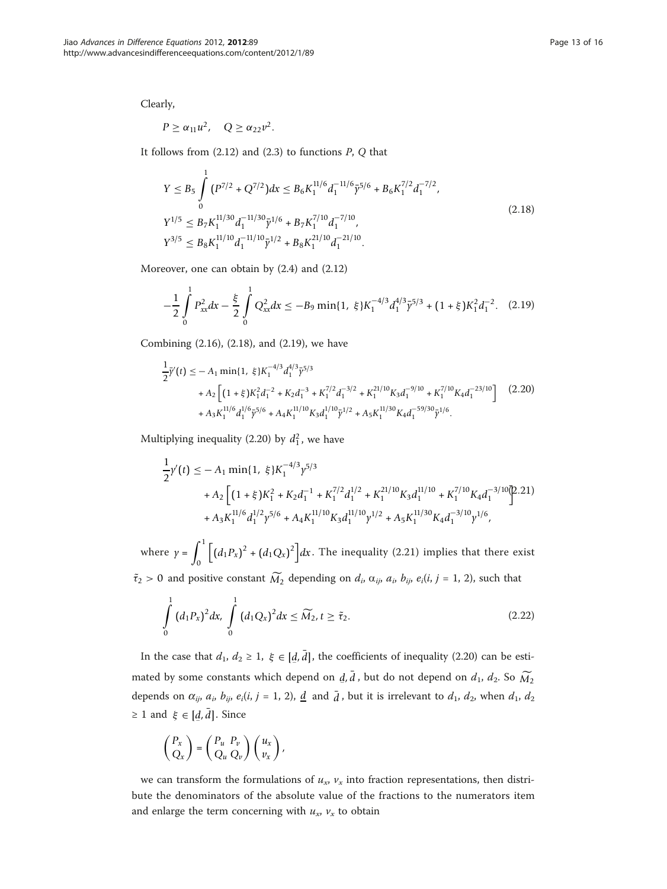Clearly,

$$
P \geq \alpha_{11} u^2, \quad Q \geq \alpha_{22} v^2.
$$

It follows from  $(2.12)$  and  $(2.3)$  to functions  $P$ ,  $Q$  that

$$
Y \le B_5 \int_0^1 (P^{7/2} + Q^{7/2}) dx \le B_6 K_1^{11/6} d_1^{-11/6} \bar{\gamma}^{5/6} + B_6 K_1^{7/2} d_1^{-7/2},
$$
  
\n
$$
Y^{1/5} \le B_7 K_1^{11/30} d_1^{-11/30} \bar{\gamma}^{1/6} + B_7 K_1^{7/10} d_1^{-7/10},
$$
  
\n
$$
Y^{3/5} \le B_8 K_1^{11/10} d_1^{-11/10} \bar{\gamma}^{1/2} + B_8 K_1^{21/10} d_1^{-21/10}.
$$
\n(2.18)

Moreover, one can obtain by (2.4) and (2.12)

$$
-\frac{1}{2}\int_{0}^{1}P_{xx}^{2}dx - \frac{\xi}{2}\int_{0}^{1}Q_{xx}^{2}dx \leq -B_{9}\min\{1, \xi\}K_{1}^{-4/3}d_{1}^{4/3}\bar{\gamma}^{5/3} + (1+\xi)K_{1}^{2}d_{1}^{-2}.\tag{2.19}
$$

Combining (2.16), (2.18), and (2.19), we have

$$
\frac{1}{2}\bar{\gamma}'(t) \le -A_1 \min\{1, \xi\} K_1^{-4/3} d_1^{4/3} \bar{\gamma}^{5/3} \n+ A_2 \left[ (1+\xi) K_1^2 d_1^{-2} + K_2 d_1^{-3} + K_1^{7/2} d_1^{-3/2} + K_1^{21/10} K_3 d_1^{-9/10} + K_1^{7/10} K_4 d_1^{-23/10} \right] (2.20) \n+ A_3 K_1^{11/6} d_1^{1/6} \bar{\gamma}^{5/6} + A_4 K_1^{11/10} K_3 d_1^{1/10} \bar{\gamma}^{1/2} + A_5 K_1^{11/30} K_4 d_1^{-59/30} \bar{\gamma}^{1/6}.
$$

Multiplying inequality (2.20) by  $d_1^2$ , we have

$$
\frac{1}{2}\gamma'(t) \le -A_1 \min\{1, \xi\} K_1^{-4/3} \gamma^{5/3} \n+ A_2 \left[ (1+\xi)K_1^2 + K_2 d_1^{-1} + K_1^{7/2} d_1^{1/2} + K_1^{21/10} K_3 d_1^{11/10} + K_1^{7/10} K_4 d_1^{-3/10} \right]^{2} .21)\n+ A_3 K_1^{11/6} d_1^{1/2} \gamma^{5/6} + A_4 K_1^{11/10} K_3 d_1^{11/10} \gamma^{1/2} + A_5 K_1^{11/30} K_4 d_1^{-3/10} \gamma^{1/6},
$$

where  $y = \int_0^1$ 0  $\int (d_1 P_x)^2 + (d_1 Q_x)^2 dx$ . The inequality (2.21) implies that there exist  $\tilde{\tau}_2 > 0$  and positive constant  $\widetilde{M}_2$  depending on  $d_i$ ,  $\alpha_{ij}$ ,  $a_i$ ,  $b_{ij}$ ,  $e_i(i, j = 1, 2)$ , such that

$$
\int_{0}^{1} (d_{1}P_{x})^{2} dx, \int_{0}^{1} (d_{1}Q_{x})^{2} dx \leq \widetilde{M}_{2}, t \geq \tilde{\tau}_{2}.
$$
\n(2.22)

In the case that  $d_1, d_2 \geq 1, \xi \in [d, \overline{d}]$ , the coefficients of inequality (2.20) can be estimated by some constants which depend on  $\bar{d}$ ,  $\bar{d}$ , but do not depend on  $d_1$ ,  $d_2$ . So  $\widetilde{M}_2$ depends on  $\alpha_{ij}$ ,  $a_i$ ,  $b_{ij}$ ,  $e_i(i, j = 1, 2)$ ,  $\underline{d}$  and  $\overline{d}$ , but it is irrelevant to  $d_1$ ,  $d_2$ , when  $d_1$ ,  $d_2$  $\geq 1$  and  $\xi \in [\underline{d}, \overline{d}]$ . Since

$$
\begin{pmatrix} P_x \\ Q_x \end{pmatrix} = \begin{pmatrix} P_u & P_v \\ Q_u & Q_v \end{pmatrix} \begin{pmatrix} u_x \\ v_x \end{pmatrix},
$$

we can transform the formulations of  $u_x$ ,  $v_x$  into fraction representations, then distribute the denominators of the absolute value of the fractions to the numerators item and enlarge the term concerning with  $u_x$ ,  $v_x$  to obtain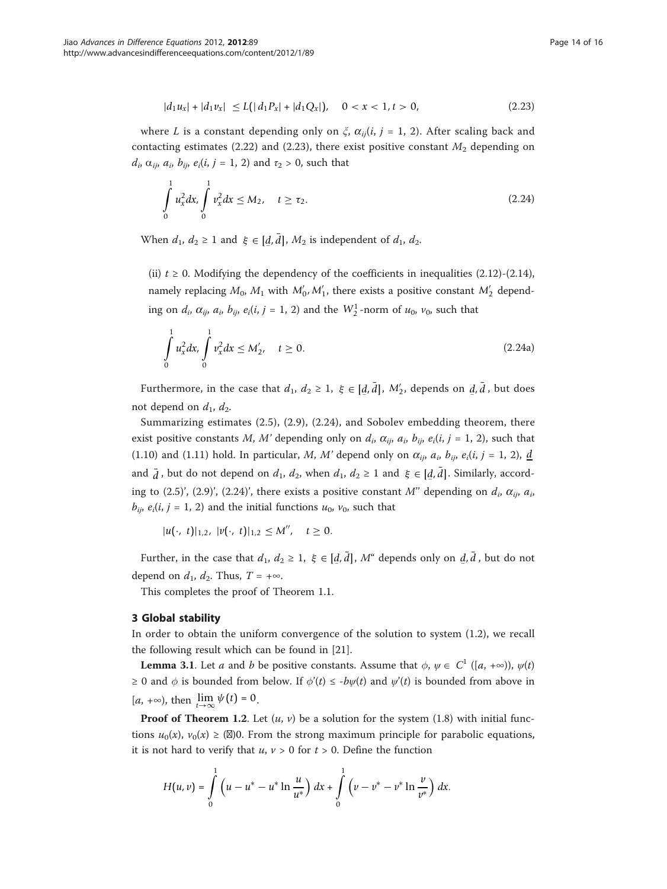$$
|d_1u_x| + |d_1v_x| \le L\big(|d_1P_x| + |d_1Q_x|\big), \quad 0 < x < 1, t > 0,\tag{2.23}
$$

where L is a constant depending only on  $\xi$ ,  $\alpha_{ii}(i, j = 1, 2)$ . After scaling back and contacting estimates (2.22) and (2.23), there exist positive constant  $M_2$  depending on  $d_i$ ,  $\alpha_{ij}$ ,  $a_i$ ,  $b_{ij}$ ,  $e_i(i, j = 1, 2)$  and  $\tau_2 > 0$ , such that

$$
\int_{0}^{1} u_x^2 dx, \int_{0}^{1} v_x^2 dx \le M_2, \quad t \ge \tau_2.
$$
\n(2.24)

When  $d_1, d_2 \ge 1$  and  $\xi \in [\underline{d}, \overline{d}]$ ,  $M_2$  is independent of  $d_1, d_2$ .

(ii)  $t \ge 0$ . Modifying the dependency of the coefficients in inequalities (2.12)-(2.14), namely replacing  $M_0$ ,  $M_1$  with  $M'_0$ ,  $M'_1$ , there exists a positive constant  $M'_2$  depending on  $d_i$ ,  $\alpha_{ij}$ ,  $a_i$ ,  $b_{ij}$ ,  $e_i(i, j = 1, 2)$  and the  $W_2^1$ -norm of  $u_0$ ,  $v_0$ , such that

$$
\int_{0}^{1} u_x^2 dx, \int_{0}^{1} v_x^2 dx \le M'_2, \quad t \ge 0.
$$
\n(2.24a)

Furthermore, in the case that  $d_1$ ,  $d_2 \ge 1$ ,  $\xi \in [\underline{d}, \overline{d}]$ ,  $M'_2$ , depends on  $\underline{d}, \overline{d}$ , but does not depend on  $d_1$ ,  $d_2$ .

Summarizing estimates (2.5), (2.9), (2.24), and Sobolev embedding theorem, there exist positive constants M, M' depending only on  $d_i$ ,  $\alpha_{ij}$ ,  $a_i$ ,  $b_{ij}$ ,  $e_i(i, j = 1, 2)$ , such that (1.10) and (1.11) hold. In particular, M, M' depend only on  $\alpha_{ij}$ ,  $a_i$ ,  $b_{ij}$ ,  $e_i(i, j = 1, 2)$ , <u>d</u> and  $\bar{d}$ , but do not depend on  $d_1$ ,  $d_2$ , when  $d_1$ ,  $d_2 \ge 1$  and  $\xi \in [\underline{d}, \overline{d}]$ . Similarly, according to (2.5)', (2.9)', (2.24)', there exists a positive constant M" depending on  $d_i$ ,  $\alpha_{ij}$ ,  $a_i$ ,  $b_{ii}$ ,  $e_i(i, j = 1, 2)$  and the initial functions  $u_0$ ,  $v_0$ , such that

 $|u(\cdot, t)|_{1,2}$ ,  $|v(\cdot, t)|_{1,2} \leq M''$ ,  $t \geq 0$ .

Further, in the case that  $d_1, d_2 \geq 1, \xi \in [d, \bar{d}], M^*$  depends only on  $d, \bar{d}$ , but do not depend on  $d_1$ ,  $d_2$ . Thus,  $T = +\infty$ .

This completes the proof of Theorem 1.1.

### 3 Global stability

In order to obtain the uniform convergence of the solution to system (1.2), we recall the following result which can be found in [[21](#page-15-0)].

**Lemma 3.1**. Let *a* and *b* be positive constants. Assume that  $\phi$ ,  $\psi \in C^1$  ([*a*, +∞)),  $\psi(t)$ ≥ 0 and  $\phi$  is bounded from below. If  $\phi'(t) \leq -b\psi(t)$  and  $\psi'(t)$  is bounded from above in  $[a, +\infty)$ , then  $\lim_{t \to \infty} \psi(t) = 0$ .

**Proof of Theorem 1.2.** Let  $(u, v)$  be a solution for the system (1.8) with initial functions  $u_0(x)$ ,  $v_0(x) \geq (\mathbb{Z})$ 0. From the strong maximum principle for parabolic equations, it is not hard to verify that  $u, v > 0$  for  $t > 0$ . Define the function

$$
H(u,v) = \int_{0}^{1} \left( u - u^* - u^* \ln \frac{u}{u^*} \right) dx + \int_{0}^{1} \left( v - v^* - v^* \ln \frac{v}{v^*} \right) dx.
$$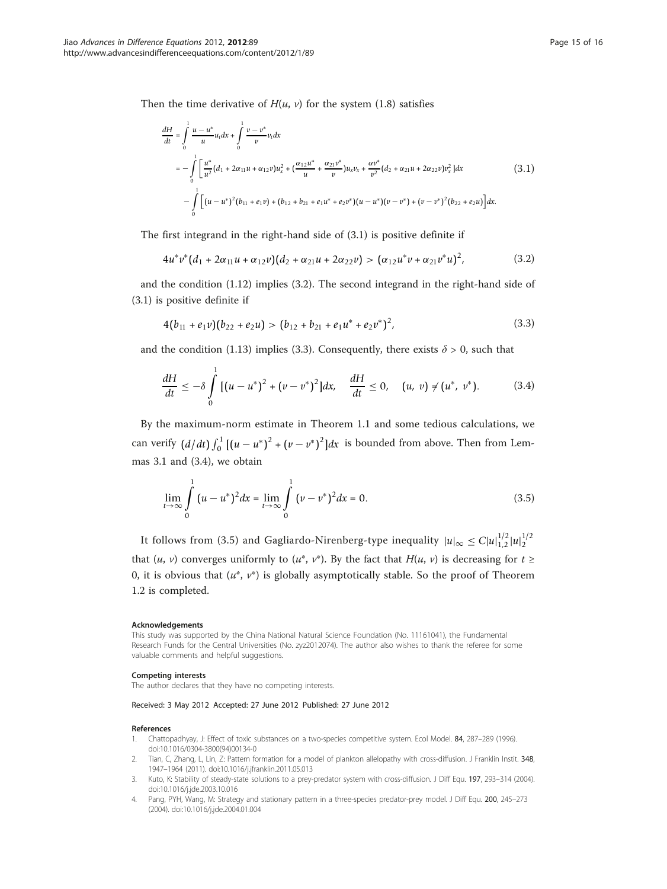<span id="page-14-0"></span>Then the time derivative of  $H(u, v)$  for the system (1.8) satisfies

$$
\frac{dH}{dt} = \int_{0}^{1} \frac{u - u^{*}}{u} u_{t} dx + \int_{0}^{1} \frac{v - v^{*}}{v} v_{t} dx
$$
\n
$$
= -\int_{0}^{1} \left[ \frac{u^{*}}{u^{2}} (d_{1} + 2\alpha_{11} u + \alpha_{12} v) u_{x}^{2} + (\frac{\alpha_{12} u^{*}}{u} + \frac{\alpha_{21} v^{*}}{v}) u_{x} v_{x} + \frac{\alpha v^{*}}{v^{2}} (d_{2} + \alpha_{21} u + 2\alpha_{22} v) v_{x}^{2} \right] dx
$$
\n
$$
- \int_{0}^{1} \left[ (u - u^{*})^{2} (b_{11} + e_{1} v) + (b_{12} + b_{21} + e_{1} u^{*} + e_{2} v^{*}) (u - u^{*}) (v - v^{*}) + (v - v^{*})^{2} (b_{22} + e_{2} u) \right] dx.
$$
\n(3.1)

The first integrand in the right-hand side of (3.1) is positive definite if

$$
4u^*v^*(d_1+2\alpha_{11}u+\alpha_{12}v)(d_2+\alpha_{21}u+2\alpha_{22}v)>(\alpha_{12}u^*v+\alpha_{21}v^*u)^2,
$$
\n(3.2)

and the condition (1.12) implies (3.2). The second integrand in the right-hand side of (3.1) is positive definite if

$$
4(b_{11} + e_1 v)(b_{22} + e_2 u) > (b_{12} + b_{21} + e_1 u^* + e_2 v^*)^2,
$$
\n(3.3)

and the condition (1.13) implies (3.3). Consequently, there exists  $\delta > 0$ , such that

$$
\frac{dH}{dt} \leq -\delta \int_{0}^{1} \left[ (u - u^{*})^{2} + (v - v^{*})^{2} \right] dx, \quad \frac{dH}{dt} \leq 0, \quad (u, v) \neq (u^{*}, v^{*}). \tag{3.4}
$$

By the maximum-norm estimate in Theorem 1.1 and some tedious calculations, we can verify  $(d/dt) \int_0^1 [(u - u^*)^2 + (v - v^*)^2] dx$  is bounded from above. Then from Lemmas 3.1 and (3.4), we obtain

$$
\lim_{t \to \infty} \int_{0}^{1} (u - u^{*})^{2} dx = \lim_{t \to \infty} \int_{0}^{1} (v - v^{*})^{2} dx = 0.
$$
 (3.5)

It follows from (3.5) and Gagliardo-Nirenberg-type inequality  $|u|_{\infty} \leq C |u|_{1,2}^{1/2} |u|_2^{1/2}$ that  $(u, v)$  converges uniformly to  $(u^*, v^*)$ . By the fact that  $H(u, v)$  is decreasing for  $t \geq$ 0, it is obvious that  $(u^*, v^*)$  is globally asymptotically stable. So the proof of Theorem 1.2 is completed.

#### Acknowledgements

This study was supported by the China National Natural Science Foundation (No. 11161041), the Fundamental Research Funds for the Central Universities (No. zyz2012074). The author also wishes to thank the referee for some valuable comments and helpful suggestions.

#### Competing interests

The author declares that they have no competing interests.

#### Received: 3 May 2012 Accepted: 27 June 2012 Published: 27 June 2012

#### References

- 1. Chattopadhyay, J: Effect of toxic substances on a two-species competitive system. Ecol Model. 84, 287–289 (1996). doi:10.1016/0304-3800(94)00134-0
- 2. Tian, C, Zhang, L, Lin, Z: Pattern formation for a model of plankton allelopathy with cross-diffusion. J Franklin Instit. 348, 1947–1964 (2011). doi:10.1016/j.jfranklin.2011.05.013
- 3. Kuto, K: Stability of steady-state solutions to a prey-predator system with cross-diffusion. J Diff Equ. 197, 293–314 (2004). doi:10.1016/j.jde.2003.10.016
- 4. Pang, PYH, Wang, M: Strategy and stationary pattern in a three-species predator-prey model. J Diff Equ. 200, 245–273 (2004). doi:10.1016/j.jde.2004.01.004